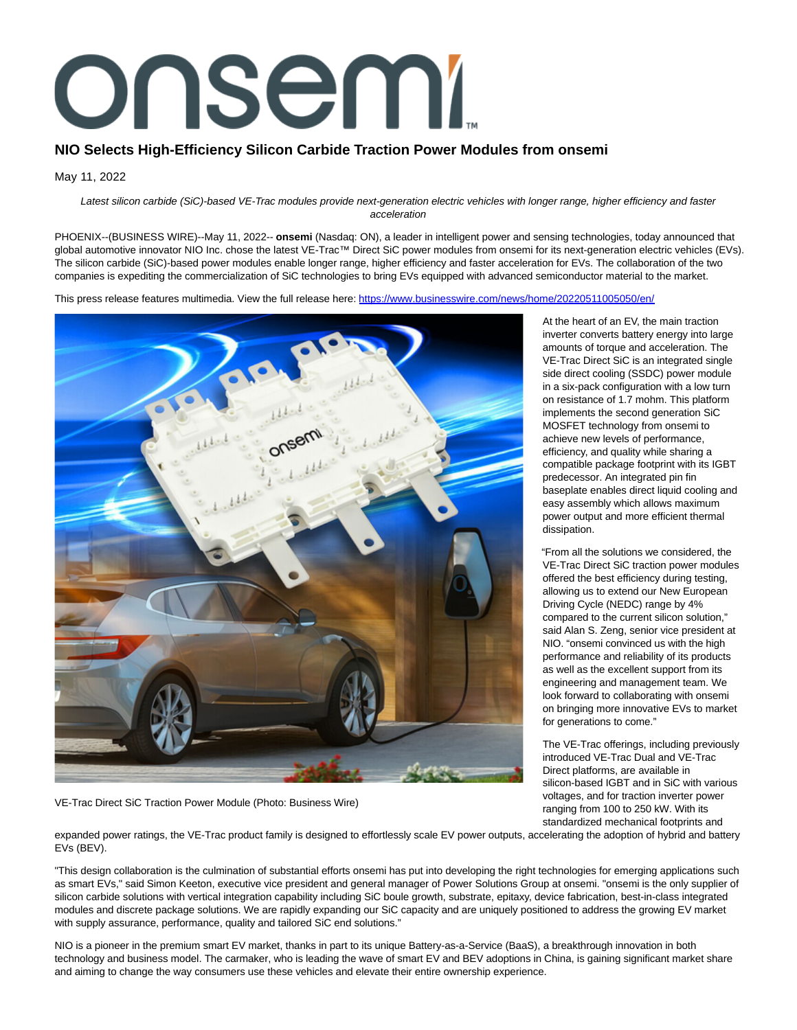# onsem!

# **NIO Selects High-Efficiency Silicon Carbide Traction Power Modules from onsemi**

May 11, 2022

### Latest silicon carbide (SiC)-based VE-Trac modules provide next-generation electric vehicles with longer range, higher efficiency and faster acceleration

PHOENIX--(BUSINESS WIRE)--May 11, 2022-- **onsemi** (Nasdaq: ON), a leader in intelligent power and sensing technologies, today announced that global automotive innovator NIO Inc. chose the latest VE-Trac™ Direct SiC power modules from onsemi for its next-generation electric vehicles (EVs). The silicon carbide (SiC)-based power modules enable longer range, higher efficiency and faster acceleration for EVs. The collaboration of the two companies is expediting the commercialization of SiC technologies to bring EVs equipped with advanced semiconductor material to the market.

This press release features multimedia. View the full release here:<https://www.businesswire.com/news/home/20220511005050/en/>



VE-Trac Direct SiC Traction Power Module (Photo: Business Wire)

At the heart of an EV, the main traction inverter converts battery energy into large amounts of torque and acceleration. The VE-Trac Direct SiC is an integrated single side direct cooling (SSDC) power module in a six-pack configuration with a low turn on resistance of 1.7 mohm. This platform implements the second generation SiC MOSFET technology from onsemi to achieve new levels of performance, efficiency, and quality while sharing a compatible package footprint with its IGBT predecessor. An integrated pin fin baseplate enables direct liquid cooling and easy assembly which allows maximum power output and more efficient thermal dissipation.

"From all the solutions we considered, the VE-Trac Direct SiC traction power modules offered the best efficiency during testing, allowing us to extend our New European Driving Cycle (NEDC) range by 4% compared to the current silicon solution," said Alan S. Zeng, senior vice president at NIO. "onsemi convinced us with the high performance and reliability of its products as well as the excellent support from its engineering and management team. We look forward to collaborating with onsemi on bringing more innovative EVs to market for generations to come."

The VE-Trac offerings, including previously introduced VE-Trac Dual and VE-Trac Direct platforms, are available in silicon-based IGBT and in SiC with various voltages, and for traction inverter power ranging from 100 to 250 kW. With its standardized mechanical footprints and

expanded power ratings, the VE-Trac product family is designed to effortlessly scale EV power outputs, accelerating the adoption of hybrid and battery EVs (BEV).

"This design collaboration is the culmination of substantial efforts onsemi has put into developing the right technologies for emerging applications such as smart EVs," said Simon Keeton, executive vice president and general manager of Power Solutions Group at onsemi. "onsemi is the only supplier of silicon carbide solutions with vertical integration capability including SiC boule growth, substrate, epitaxy, device fabrication, best-in-class integrated modules and discrete package solutions. We are rapidly expanding our SiC capacity and are uniquely positioned to address the growing EV market with supply assurance, performance, quality and tailored SiC end solutions."

NIO is a pioneer in the premium smart EV market, thanks in part to its unique Battery-as-a-Service (BaaS), a breakthrough innovation in both technology and business model. The carmaker, who is leading the wave of smart EV and BEV adoptions in China, is gaining significant market share and aiming to change the way consumers use these vehicles and elevate their entire ownership experience.